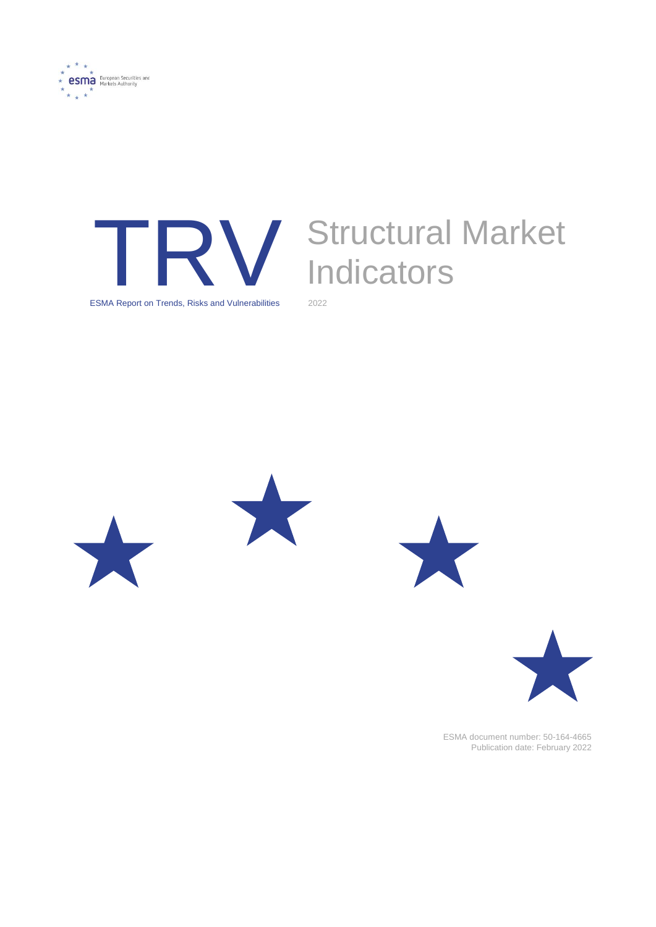



# TRV Structural Market

ESMA Report on Trends, Risks and Vulnerabilities 2022









ESMA document number: 50-164-4665 Publication date: February 2022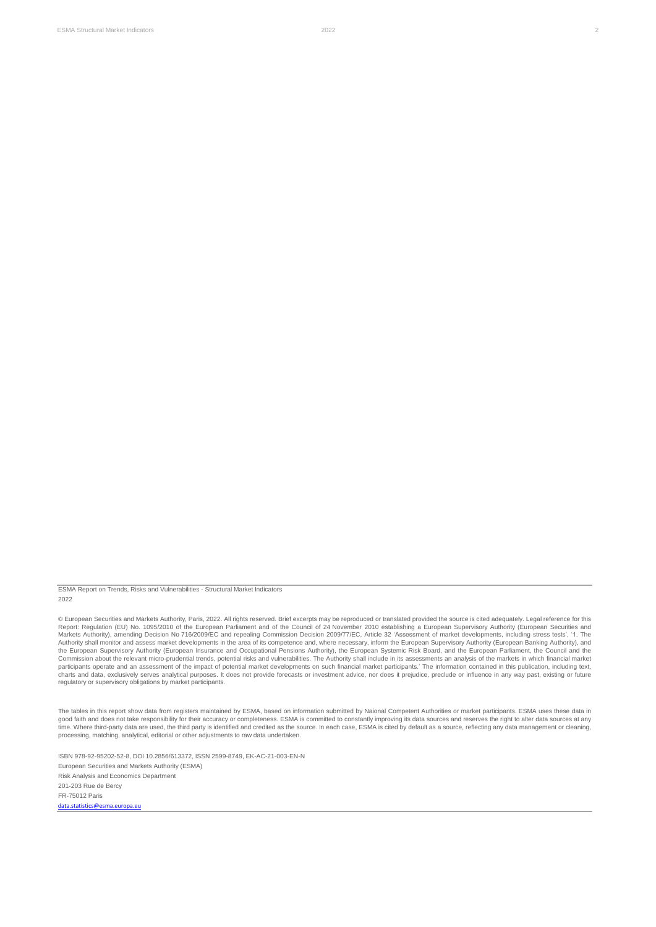ESMA Report on Trends, Risks and Vulnerabilities - Structural Market Indicators 2022

© European Securities and Markets Authority, Paris, 2022. All rights reserved. Brief excerpts may be reproduced or translated provided the source is cited adequately. Legal reference for this Report: Regulation (EU) No. 1095/2010 of the European Parliament and of the Council of 24 November 2010 establishing a European Supervisory Authority (European Securities and<br>Markets Authority), amending Decision No 716/20 the European Supervisory Authority (European Insurance and Occupational Pensions Authority), the European Systemic Risk Board, and the European Parliament, the Council and the<br>Commission about the relevant micro-prudential participants operate and an assessment of the impact of potential market developments on such financial market participants.' The information contained in this publication, including text,<br>charts and data, exclusively serv regulatory or supervisory obligations by market participants.

The tables in this report show data from registers maintained by ESMA, based on information submitted by Naional Competent Authorities or market participants. ESMA uses these data in good faith and does not take responsibility for their accuracy or completeness. ESMA is committed to constantly improving its data sources and reserves the right to alter data sources at any<br>time. Where third-party data ar processing, matching, analytical, editorial or other adjustments to raw data undertaken.

Risk Analysis and Economics Department 201-203 Rue de Bercy FR-75012 Paris [data.statistics@esma.europa.eu](mailto:data.statistics@esma.europa.eu) ISBN 978-92-95202-52-8, DOI 10.2856/613372, ISSN 2599-8749, EK-AC-21-003-EN-N European Securities and Markets Authority (ESMA)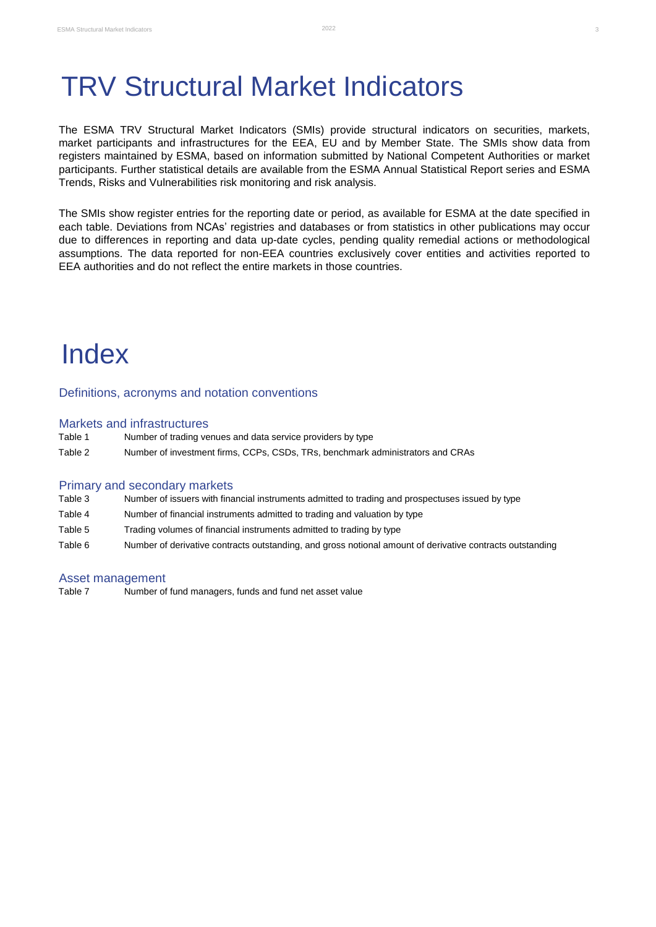# TRV Structural Market Indicators

The ESMA TRV Structural Market Indicators (SMIs) provide structural indicators on securities, markets, market participants and infrastructures for the EEA, EU and by Member State. The SMIs show data from registers maintained by ESMA, based on information submitted by National Competent Authorities or market participants. Further statistical details are available from the ESMA Annual Statistical Report series and ESMA Trends, Risks and Vulnerabilities risk monitoring and risk analysis.

The SMIs show register entries for the reporting date or period, as available for ESMA at the date specified in each table. Deviations from NCAs' registries and databases or from statistics in other publications may occur due to differences in reporting and data up-date cycles, pending quality remedial actions or methodological assumptions. The data reported for non-EEA countries exclusively cover entities and activities reported to EEA authorities and do not reflect the entire markets in those countries.

# Index

## Definitions, acronyms and notation conventions

#### Markets and infrastructures

Table 1 Table 2 Number of trading venues and data service providers by type Number of investment firms, CCPs, CSDs, TRs, benchmark administrators and CRAs

## Primary and secondary markets

- Table 3 Number of issuers with financial instruments admitted to trading and prospectuses issued by type
- Table 4 Number of financial instruments admitted to trading and valuation by type
- Table 5 Trading volumes of financial instruments admitted to trading by type
- Table 6 Number of derivative contracts outstanding, and gross notional amount of derivative contracts outstanding

#### Asset management

Table 7 Number of fund managers, funds and fund net asset value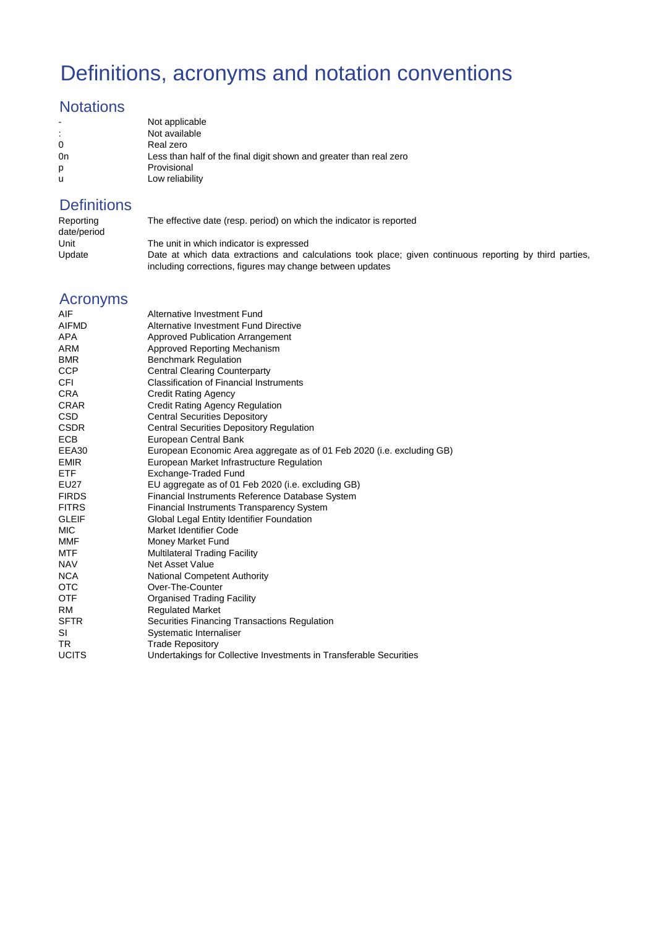## Definitions, acronyms and notation conventions

## **Notations**

| $\overline{\phantom{a}}$ | Not applicable                                                     |
|--------------------------|--------------------------------------------------------------------|
| ÷                        | Not available                                                      |
| $\Omega$                 | Real zero                                                          |
| 0n                       | Less than half of the final digit shown and greater than real zero |
| p                        | Provisional                                                        |
| u                        | Low reliability                                                    |
|                          |                                                                    |

## **Definitions**

| Reporting   | The effective date (resp. period) on which the indicator is reported                                                                                                  |  |  |  |  |  |
|-------------|-----------------------------------------------------------------------------------------------------------------------------------------------------------------------|--|--|--|--|--|
| date/period |                                                                                                                                                                       |  |  |  |  |  |
| Unit        | The unit in which indicator is expressed                                                                                                                              |  |  |  |  |  |
| Update      | Date at which data extractions and calculations took place; given continuous reporting by third parties,<br>including corrections, figures may change between updates |  |  |  |  |  |

## Acronyms

| AIF          | Alternative Investment Fund                                            |
|--------------|------------------------------------------------------------------------|
| <b>AIFMD</b> | Alternative Investment Fund Directive                                  |
| <b>APA</b>   | <b>Approved Publication Arrangement</b>                                |
| ARM          | Approved Reporting Mechanism                                           |
| <b>BMR</b>   | <b>Benchmark Regulation</b>                                            |
| <b>CCP</b>   | Central Clearing Counterparty                                          |
| <b>CFI</b>   | Classification of Financial Instruments                                |
| <b>CRA</b>   | <b>Credit Rating Agency</b>                                            |
| <b>CRAR</b>  | <b>Credit Rating Agency Regulation</b>                                 |
| <b>CSD</b>   | <b>Central Securities Depository</b>                                   |
| <b>CSDR</b>  | <b>Central Securities Depository Regulation</b>                        |
| <b>ECB</b>   | European Central Bank                                                  |
| EEA30        | European Economic Area aggregate as of 01 Feb 2020 (i.e. excluding GB) |
| <b>EMIR</b>  | European Market Infrastructure Regulation                              |
| <b>ETF</b>   | Exchange-Traded Fund                                                   |
| EU27         | EU aggregate as of 01 Feb 2020 (i.e. excluding GB)                     |
| <b>FIRDS</b> | Financial Instruments Reference Database System                        |
| <b>FITRS</b> | <b>Financial Instruments Transparency System</b>                       |
| <b>GLEIF</b> | Global Legal Entity Identifier Foundation                              |
| <b>MIC</b>   | Market Identifier Code                                                 |
| MMF          | Money Market Fund                                                      |
| MTF          | <b>Multilateral Trading Facility</b>                                   |
| <b>NAV</b>   | Net Asset Value                                                        |
| <b>NCA</b>   | <b>National Competent Authority</b>                                    |
| <b>OTC</b>   | Over-The-Counter                                                       |
| <b>OTF</b>   | <b>Organised Trading Facility</b>                                      |
| <b>RM</b>    | <b>Regulated Market</b>                                                |
| <b>SFTR</b>  | Securities Financing Transactions Regulation                           |
| SI           | Systematic Internaliser                                                |
| TR.          | <b>Trade Repository</b>                                                |
| <b>UCITS</b> | Undertakings for Collective Investments in Transferable Securities     |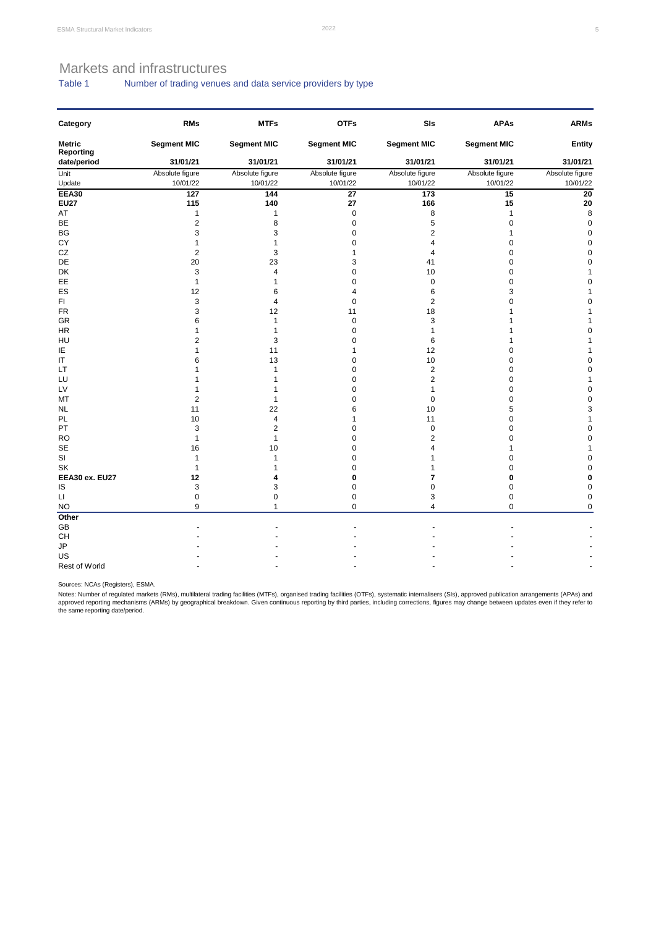## Markets and infrastructures

## Table 1 Number of trading venues and data service providers by type

| Category                   | <b>RMs</b>         | <b>MTFs</b>        | <b>OTFs</b>        | Sis                | <b>APAs</b>        | <b>ARMs</b>     |
|----------------------------|--------------------|--------------------|--------------------|--------------------|--------------------|-----------------|
| <b>Metric</b><br>Reporting | <b>Segment MIC</b> | <b>Segment MIC</b> | <b>Segment MIC</b> | <b>Segment MIC</b> | <b>Segment MIC</b> | <b>Entity</b>   |
| date/period                | 31/01/21           | 31/01/21           | 31/01/21           | 31/01/21           | 31/01/21           | 31/01/21        |
| Unit                       | Absolute figure    | Absolute figure    | Absolute figure    | Absolute figure    | Absolute figure    | Absolute figure |
| Update                     | 10/01/22           | 10/01/22           | 10/01/22           | 10/01/22           | 10/01/22           | 10/01/22        |
| <b>EEA30</b>               | 127                | 144                | $\overline{27}$    | 173                | $\overline{15}$    | 20              |
| <b>EU27</b>                | 115                | 140                | 27                 | 166                | 15                 | 20              |
| AT                         | 1                  | $\mathbf{1}$       | 0                  | 8                  | $\mathbf{1}$       | 8               |
| BE                         | $\overline{2}$     | 8                  | $\mathbf 0$        | 5                  | $\mathbf 0$        | $\pmb{0}$       |
| <b>BG</b>                  | 3                  | 3                  | 0                  | $\overline{2}$     | 1                  | $\mathbf 0$     |
| CY                         | 1                  | 1                  | 0                  | 4                  | $\mathbf 0$        | 0               |
| CZ                         | $\overline{2}$     | 3                  | 1                  | 4                  | $\pmb{0}$          | 0               |
| DE                         | 20                 | 23                 | 3                  | 41                 | $\mathbf 0$        | $\mathbf 0$     |
| DK                         | 3                  | 4                  | $\Omega$           | 10                 | $\mathbf 0$        | 1               |
| EE                         | $\mathbf{1}$       | 1                  | 0                  | $\mathbf 0$        | $\pmb{0}$          | 0               |
| ES                         | 12                 | 6                  | 4                  | 6                  | 3                  | 1               |
| F1                         | 3                  | $\overline{4}$     | 0                  | $\overline{2}$     | $\mathbf 0$        | 0               |
| <b>FR</b>                  | 3                  | 12                 | 11                 | 18                 | 1                  | 1               |
| <b>GR</b>                  | 6                  | $\mathbf{1}$       | 0                  | 3                  | 1                  | 1               |
| <b>HR</b>                  | 1                  | 1                  | 0                  | 1                  | 1                  | 0               |
| HU                         | $\overline{2}$     | 3                  | 0                  | 6                  | 1                  | 1               |
| IE                         | 1                  | 11                 | $\mathbf{1}$       | 12                 | $\pmb{0}$          | 1               |
| $\sf IT$                   | 6                  | 13                 | $\mathbf 0$        | 10                 | $\mathbf 0$        | 0               |
| LT                         | 1                  | $\mathbf{1}$       | 0                  | $\overline{2}$     | $\mathbf 0$        | $\mathbf 0$     |
| LU                         | 1                  |                    | 0                  | $\overline{c}$     | $\mathbf 0$        | 1               |
| LV                         | 1                  |                    | $\mathbf 0$        | 1                  | $\pmb{0}$          | 0               |
| MT                         | $\overline{2}$     | 1                  | 0                  | $\mathbf 0$        | $\pmb{0}$          | $\mathbf 0$     |
| <b>NL</b>                  | 11                 | 22                 | 6                  | 10                 | 5                  | 3               |
| PL                         | 10                 | 4                  | 1                  | 11                 | $\pmb{0}$          | $\mathbf{1}$    |
| PT                         | 3                  | $\boldsymbol{2}$   | 0                  | $\mathbf 0$        | $\mathbf 0$        | 0               |
| <b>RO</b>                  | $\mathbf{1}$       | $\mathbf{1}$       | $\mathbf 0$        | $\overline{c}$     | $\mathbf 0$        | 0               |
| <b>SE</b>                  | 16                 | 10                 | 0                  | 4                  | $\mathbf{1}$       | 1               |
| SI                         | $\mathbf{1}$       | 1                  | 0                  | 1                  | $\mathbf 0$        | $\mathbf 0$     |
| SK                         | $\mathbf{1}$       | 1                  | 0                  | 1                  | $\pmb{0}$          | 0               |
| EEA30 ex. EU27             | 12                 | 4                  | 0                  | $\overline{7}$     | $\bf{0}$           | 0               |
| IS                         | 3                  | 3                  | $\mathbf 0$        | $\mathbf 0$        | $\mathbf 0$        | $\pmb{0}$       |
| $\mathsf{L}$               | $\pmb{0}$          | $\pmb{0}$          | 0                  | 3                  | $\mathbf 0$        | $\pmb{0}$       |
| <b>NO</b>                  | 9                  | 1                  | $\mathbf 0$        | 4                  | $\mathbf 0$        | $\pmb{0}$       |
| Other                      |                    |                    |                    |                    |                    |                 |
| GB                         |                    |                    |                    |                    |                    |                 |
| CH                         |                    |                    |                    |                    |                    |                 |
| <b>JP</b>                  |                    |                    |                    |                    |                    |                 |
| US                         |                    |                    |                    |                    |                    |                 |
| Rest of World              |                    |                    |                    |                    |                    |                 |

Sources: NCAs (Registers), ESMA.

Notes: Number of regulated markets (RMs), multilateral trading facilities (MTFs), organised trading facilities (OTFs), systematic internalisers (SIs), approved publication arrangements (APAs) and<br>approved reporting mechani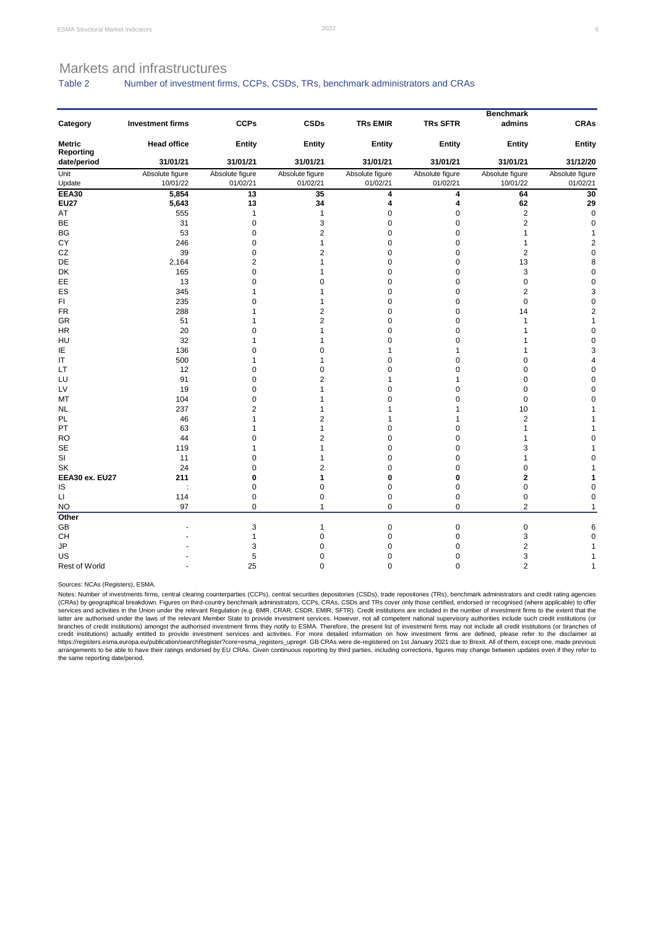## Markets and infrastructures

#### Table 2 Number of investment firms, CCPs, CSDs, TRs, benchmark administrators and CRAs

|                            |                         |                 |                 |                 | <b>Benchmark</b> |                 |                 |  |  |
|----------------------------|-------------------------|-----------------|-----------------|-----------------|------------------|-----------------|-----------------|--|--|
| Category                   | <b>Investment firms</b> | <b>CCPs</b>     | <b>CSDs</b>     | <b>TRs EMIR</b> | <b>TRs SFTR</b>  | admins          | <b>CRAs</b>     |  |  |
| <b>Metric</b><br>Reporting | <b>Head office</b>      | <b>Entity</b>   | <b>Entity</b>   | <b>Entity</b>   | <b>Entity</b>    | <b>Entity</b>   | <b>Entity</b>   |  |  |
| date/period                | 31/01/21                | 31/01/21        | 31/01/21        | 31/01/21        | 31/01/21         | 31/01/21        | 31/12/20        |  |  |
| Unit                       | Absolute figure         | Absolute figure | Absolute figure | Absolute figure | Absolute figure  | Absolute figure | Absolute figure |  |  |
| Update                     | 10/01/22                | 01/02/21        | 01/02/21        | 01/02/21        | 01/02/21         | 10/01/22        | 01/02/21        |  |  |
| <b>EEA30</b>               | 5,854                   | 13              | 35              | 4               | 4                | 64              | 30              |  |  |
| <b>EU27</b>                | 5,643                   | 13              | 34              | 4               | 4                | 62              | 29              |  |  |
| AT                         | 555                     | $\mathbf{1}$    | $\mathbf{1}$    | 0               | 0                | $\overline{2}$  | $\mathbf 0$     |  |  |
| BE                         | 31                      | 0               | 3               | 0               | 0                | $\overline{c}$  | 0               |  |  |
| <b>BG</b>                  | 53                      | $\mathbf 0$     | $\overline{2}$  | $\overline{0}$  | 0                | 1               | 1               |  |  |
| CY                         | 246                     | $\mathbf 0$     | $\mathbf{1}$    | 0               | 0                | 1               | $\overline{2}$  |  |  |
| CZ                         | 39                      | 0               | 2               | 0               | 0                | 2               | 0               |  |  |
| DE                         | 2,164                   | 2               | 1               | 0               | 0                | 13              | 8               |  |  |
| <b>DK</b>                  | 165                     | $\mathbf 0$     | 1               | 0               | 0                | 3               | $\mathbf 0$     |  |  |
| EE                         | 13                      | 0               | 0               | 0               | 0                | 0               | $\mathbf 0$     |  |  |
| ES                         | 345                     | 1               | 1               | $\overline{0}$  | 0                | $\overline{c}$  | 3               |  |  |
| FI.                        | 235                     | 0               | 1               | 0               | 0                | $\mathbf 0$     | 0               |  |  |
| <b>FR</b>                  | 288                     | 1               | 2               | 0               | 0                | 14              | $\overline{2}$  |  |  |
| GR                         | 51                      | 1               | $\overline{2}$  | $\overline{0}$  | 0                | 1               | 1               |  |  |
| <b>HR</b>                  | 20                      | 0               | 1               | 0               | 0                |                 | $\mathbf 0$     |  |  |
| HU                         | 32                      | 1               | 1               | 0               | 0                |                 | $\mathbf 0$     |  |  |
| ΙE                         | 136                     | 0               | 0               | 1               | 1                |                 | 3               |  |  |
| $\sf IT$                   | 500                     | 1               | 1               | 0               | 0                | 0               | 4               |  |  |
| LT                         | 12                      | 0               | $\Omega$        | 0               | 0                | $\Omega$        | $\mathbf 0$     |  |  |
|                            |                         |                 |                 |                 |                  |                 |                 |  |  |
| LU                         | 91                      | 0               | 2               | 1               | 1                | 0               | 0               |  |  |
| LV                         | 19                      | $\mathbf 0$     | 1               | 0               | 0                | $\mathbf 0$     | $\Omega$        |  |  |
| MT                         | 104                     | $\mathbf 0$     | 1               | 0               | 0                | $\Omega$        | $\Omega$        |  |  |
| NL                         | 237                     | 2               | 1               | 1               | 1                | 10              |                 |  |  |
| PL                         | 46                      | 1               | $\overline{2}$  | 1               | 1                | $\overline{c}$  |                 |  |  |
| PT                         | 63                      | 1               | $\mathbf{1}$    | 0               | 0                | 1               |                 |  |  |
| <b>RO</b>                  | 44                      | 0               | $\overline{2}$  | 0               | 0                | 1               | $\Omega$        |  |  |
| <b>SE</b>                  | 119                     | 1               | 1               | 0               | 0                | 3               |                 |  |  |
| SI                         | 11                      | 0               | 1               | 0               | 0                | 1               | 0               |  |  |
| SK                         | 24                      | $\mathbf 0$     | $\overline{2}$  | 0               | 0                | $\mathbf 0$     |                 |  |  |
| EEA30 ex. EU27             | 211                     | 0               | 1               | 0               | 0                | 2               |                 |  |  |
| IS                         |                         | 0               | 0               | 0               | 0                | $\mathbf 0$     | 0               |  |  |
| $\sqcup$                   | 114                     | $\mathbf 0$     | $\mathbf 0$     | 0               | 0                | 0               | 0               |  |  |
| <b>NO</b>                  | 97                      | 0               | $\mathbf{1}$    | 0               | 0                | $\overline{2}$  | $\mathbf{1}$    |  |  |
| Other                      |                         |                 |                 |                 |                  |                 |                 |  |  |
| GB                         |                         | 3               | $\mathbf{1}$    | 0               | $\pmb{0}$        | $\mathbf 0$     | 6               |  |  |
| CH                         |                         | 1               | 0               | 0               | 0                | 3               | $\Omega$        |  |  |
| <b>JP</b>                  |                         | 3               | 0               | 0               | 0                | $\overline{c}$  |                 |  |  |
| US                         |                         | 5               | $\Omega$        | 0               | 0                | 3               | 1               |  |  |
| Rest of World              |                         | 25              | $\Omega$        | 0               | $\Omega$         | $\overline{2}$  | 1               |  |  |

Sources: NCAs (Registers), ESMA.

Notes: Number of investments firms, central clearing counterparties (CCPs), central securities depositories (CSDs), trade repositories (TRs), benchmark administrators and credit rating agencies (CRAs) by geographical breakdown. Figures on third-country benchmark administrators, CCPs, CRAs, CSDs and TRs cover only those certified, endorsed or recognised (where applicable) to offer<br>later are authorised under the la https://registers.esma.europa.eu/publication/searchRegister?core=esma\_registers\_upreg#. GB CRAs were de-registered on 1st January 2021 due to Brexit. All of them, except one, made previous<br>arrangements to be able to have the same reporting date/period.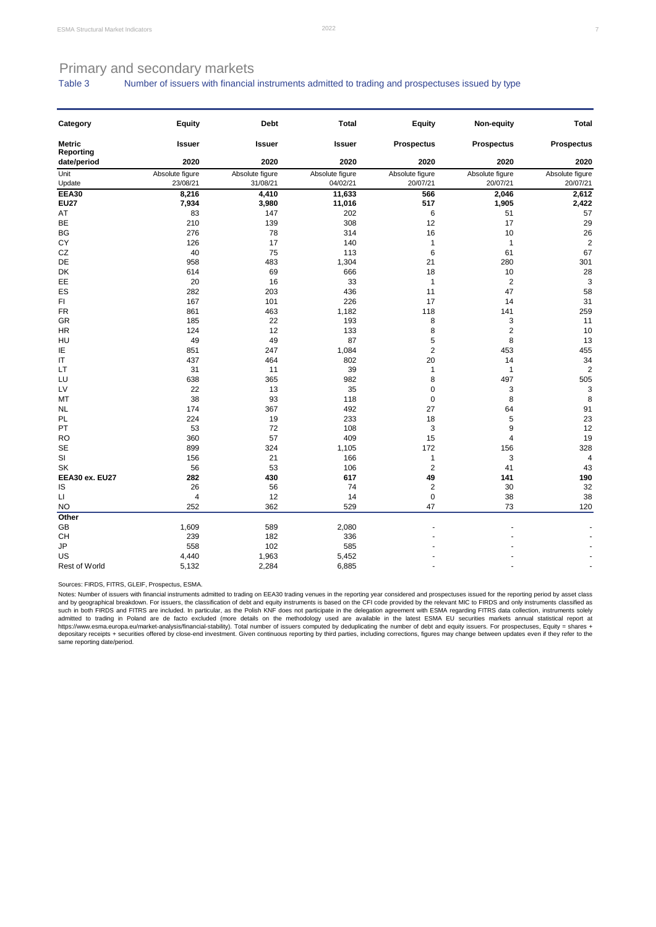## Primary and secondary markets

Table 3 Number of issuers with financial instruments admitted to trading and prospectuses issued by type

| Category                   | Equity          | <b>Debt</b>     | <b>Total</b>    | Equity            | Non-equity        | <b>Total</b>      |
|----------------------------|-----------------|-----------------|-----------------|-------------------|-------------------|-------------------|
| <b>Metric</b><br>Reporting | <b>Issuer</b>   | <b>Issuer</b>   | <b>Issuer</b>   | <b>Prospectus</b> | <b>Prospectus</b> | <b>Prospectus</b> |
| date/period                | 2020            | 2020            | 2020            | 2020              | 2020              | 2020              |
| Unit                       | Absolute figure | Absolute figure | Absolute figure | Absolute figure   | Absolute figure   | Absolute figure   |
| Update                     | 23/08/21        | 31/08/21        | 04/02/21        | 20/07/21          | 20/07/21          | 20/07/21          |
| <b>EEA30</b>               | 8,216           | 4,410           | 11,633          | 566               | 2,046             | 2,612             |
| <b>EU27</b>                | 7,934           | 3,980           | 11,016          | 517               | 1,905             | 2,422             |
| AT                         | 83              | 147             | 202             | 6                 | 51                | 57                |
| BE                         | 210             | 139             | 308             | 12                | 17                | 29                |
| <b>BG</b>                  | 276             | 78              | 314             | 16                | 10                | 26                |
| CY                         | 126             | 17              | 140             | $\mathbf{1}$      | $\mathbf{1}$      | $\overline{2}$    |
| CZ                         | 40              | 75              | 113             | 6                 | 61                | 67                |
| DE                         | 958             | 483             | 1,304           | 21                | 280               | 301               |
| DK                         | 614             | 69              | 666             | 18                | 10                | 28                |
| EE                         | 20              | 16              | 33              | $\mathbf{1}$      | $\overline{2}$    | 3                 |
| ES                         | 282             | 203             | 436             | 11                | 47                | 58                |
| FI.                        | 167             | 101             | 226             | 17                | 14                | 31                |
| <b>FR</b>                  | 861             | 463             | 1,182           | 118               | 141               | 259               |
| GR                         | 185             | 22              | 193             | 8                 | 3                 | 11                |
| <b>HR</b>                  | 124             | 12              | 133             | 8                 | $\overline{2}$    | 10                |
| HU                         | 49              | 49              | 87              | 5                 | 8                 | 13                |
| IE                         | 851             | 247             | 1,084           | $\overline{2}$    | 453               | 455               |
| $\sf IT$                   | 437             | 464             | 802             | 20                | 14                | 34                |
| LT                         | 31              | 11              | 39              | $\mathbf{1}$      | $\mathbf{1}$      | $\overline{2}$    |
| LU                         | 638             | 365             | 982             | 8                 | 497               | 505               |
| LV                         | 22              | 13              | 35              | $\mathbf 0$       | 3                 | 3                 |
| МT                         | 38              | 93              | 118             | $\pmb{0}$         | 8                 | 8                 |
| <b>NL</b>                  | 174             | 367             | 492             | 27                | 64                | 91                |
| PL                         | 224             | 19              | 233             | 18                | 5                 | 23                |
| PT                         | 53              | 72              | 108             | 3                 | 9                 | 12                |
| <b>RO</b>                  | 360             | 57              | 409             | 15                | 4                 | 19                |
| <b>SE</b>                  | 899             | 324             | 1,105           | 172               | 156               | 328               |
| SI                         | 156             | 21              | 166             | $\mathbf{1}$      | 3                 | $\overline{4}$    |
| SK                         | 56              | 53              | 106             | $\overline{2}$    | 41                | 43                |
| EEA30 ex. EU27             | 282             | 430             | 617             | 49                | 141               | 190               |
| IS                         | 26              | 56              | 74              | $\boldsymbol{2}$  | 30                | 32                |
| $\sqcup$                   | $\overline{4}$  | 12              | 14              | $\pmb{0}$         | 38                | 38                |
| NO                         | 252             | 362             | 529             | 47                | 73                | 120               |
| Other                      |                 |                 |                 |                   |                   |                   |
| GB                         | 1,609           | 589             | 2,080           |                   |                   |                   |
| CH                         | 239             | 182             | 336             |                   |                   |                   |
| JP                         | 558             | 102             | 585             |                   |                   |                   |
| US                         | 4,440           | 1,963           | 5,452           |                   |                   |                   |
| Rest of World              | 5,132           | 2,284           | 6,885           |                   |                   |                   |

Sources: FIRDS, FITRS, GLEIF, Prospectus, ESMA.

Notes: Number of issuers with financial instruments admitted to trading on EEA30 trading venues in the reporting year considered and prospectuses issued for the reporting period by asset class<br>and by geographical breakdown same reporting date/period.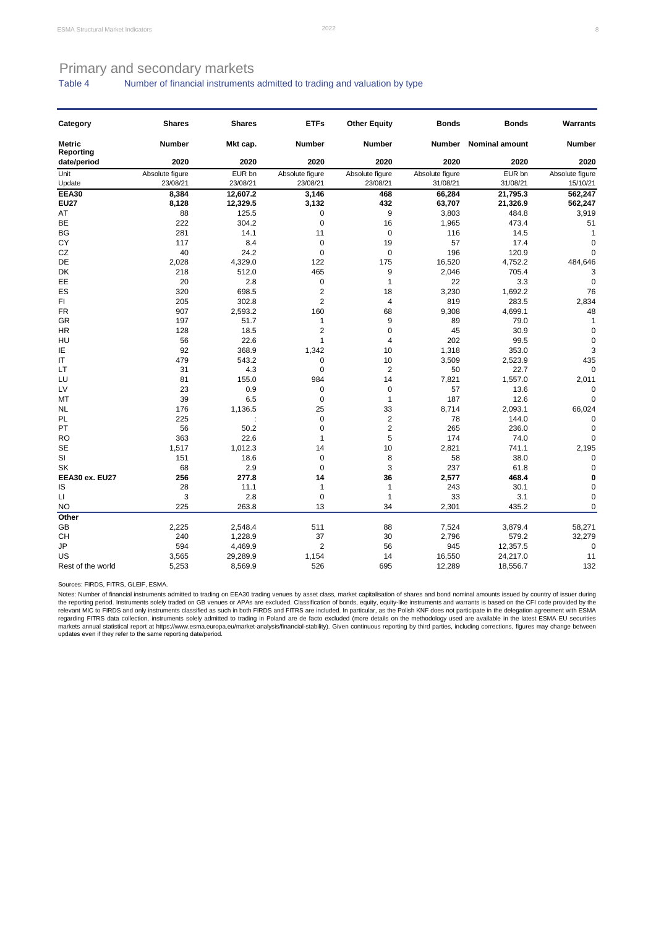### Table 4 Number of financial instruments admitted to trading and valuation by type

| Category                   | <b>Shares</b>   | <b>Shares</b> | <b>ETFs</b>                    | <b>Other Equity</b>     | <b>Bonds</b>    | <b>Bonds</b>          | Warrants        |
|----------------------------|-----------------|---------------|--------------------------------|-------------------------|-----------------|-----------------------|-----------------|
| <b>Metric</b><br>Reporting | <b>Number</b>   | Mkt cap.      | <b>Number</b>                  | <b>Number</b>           | <b>Number</b>   | <b>Nominal amount</b> | <b>Number</b>   |
| date/period                | 2020            | 2020          | 2020                           | 2020                    | 2020            | 2020                  | 2020            |
| Unit                       | Absolute figure | EUR bn        | Absolute figure                | Absolute figure         | Absolute figure | EUR bn                | Absolute figure |
| Update                     | 23/08/21        | 23/08/21      | 23/08/21                       | 23/08/21                | 31/08/21        | 31/08/21              | 15/10/21        |
| <b>EEA30</b>               | 8,384           | 12,607.2      | 3,146                          | 468                     | 66,284          | 21,795.3              | 562,247         |
| <b>EU27</b>                | 8,128           | 12,329.5      | 3,132                          | 432                     | 63,707          | 21,326.9              | 562,247         |
| AT                         | 88              | 125.5         | 0                              | 9                       | 3,803           | 484.8                 | 3,919           |
| BE                         | 222             | 304.2         | $\mathbf 0$                    | 16                      | 1,965           | 473.4                 | 51              |
| BG                         | 281             | 14.1          | 11                             | $\mathbf 0$             | 116             | 14.5                  | $\mathbf{1}$    |
| CY                         | 117             | 8.4           | $\mathbf 0$                    | 19                      | 57              | 17.4                  | $\mathbf 0$     |
| CZ                         | 40              | 24.2          | $\mathbf 0$                    | 0                       | 196             | 120.9                 | $\mathbf 0$     |
| DE                         | 2,028           | 4,329.0       | 122                            | 175                     | 16,520          | 4,752.2               | 484,646         |
| <b>DK</b>                  | 218             | 512.0         | 465                            | 9                       | 2,046           | 705.4                 | 3               |
| EE                         | 20              | 2.8           | 0                              | $\mathbf{1}$            | 22              | 3.3                   | $\mathbf 0$     |
| ES                         | 320             | 698.5         | $\overline{2}$                 | 18                      | 3,230           | 1,692.2               | 76              |
| FI                         | 205             | 302.8         | $\overline{2}$                 | 4                       | 819             | 283.5                 | 2,834           |
| <b>FR</b>                  | 907             | 2,593.2       | 160                            | 68                      | 9,308           | 4,699.1               | 48              |
| <b>GR</b>                  | 197             | 51.7          | $\mathbf{1}$                   | 9                       | 89              | 79.0                  | $\mathbf{1}$    |
| HR<br>HU                   | 128<br>56       | 18.5<br>22.6  | $\overline{2}$<br>$\mathbf{1}$ | 0<br>4                  | 45<br>202       | 30.9<br>99.5          | 0<br>0          |
| ΙE                         | 92              | 368.9         | 1,342                          | 10                      | 1,318           | 353.0                 | 3               |
| IT                         | 479             | 543.2         | 0                              | 10                      |                 | 2,523.9               | 435             |
| LT                         | 31              | 4.3           | 0                              | $\overline{2}$          | 3,509<br>50     | 22.7                  | $\mathbf 0$     |
| LU                         | 81              | 155.0         | 984                            | 14                      | 7,821           | 1,557.0               | 2,011           |
| LV                         | 23              | 0.9           | 0                              | 0                       | 57              | 13.6                  | 0               |
| МT                         | 39              | 6.5           | $\mathbf 0$                    | $\mathbf{1}$            | 187             | 12.6                  | $\mathbf 0$     |
| <b>NL</b>                  | 176             | 1,136.5       | 25                             | 33                      | 8,714           | 2,093.1               | 66,024          |
| PL                         | 225             |               | $\mathbf 0$                    | $\overline{\mathbf{c}}$ | 78              | 144.0                 | 0               |
| PT                         | 56              | 50.2          | $\mathbf 0$                    | $\overline{2}$          | 265             | 236.0                 | 0               |
| <b>RO</b>                  | 363             | 22.6          | $\mathbf{1}$                   | 5                       | 174             | 74.0                  | 0               |
| <b>SE</b>                  | 1,517           | 1,012.3       | 14                             | 10                      | 2,821           | 741.1                 | 2,195           |
| SI                         | 151             | 18.6          | $\mathbf 0$                    | 8                       | 58              | 38.0                  | $\mathbf 0$     |
| SK                         | 68              | 2.9           | 0                              | 3                       | 237             | 61.8                  | 0               |
| EEA30 ex. EU27             | 256             | 277.8         | 14                             | 36                      | 2,577           | 468.4                 | 0               |
| IS                         | 28              | 11.1          | $\mathbf{1}$                   | 1                       | 243             | 30.1                  | $\mathbf 0$     |
| П                          | 3               | 2.8           | $\mathbf 0$                    | 1                       | 33              | 3.1                   | $\pmb{0}$       |
| NO                         | 225             | 263.8         | 13                             | 34                      | 2,301           | 435.2                 | $\mathbf 0$     |
| Other                      |                 |               |                                |                         |                 |                       |                 |
| GB                         | 2,225           | 2,548.4       | 511                            | 88                      | 7,524           | 3,879.4               | 58,271          |
| CН                         | 240             | 1,228.9       | 37                             | 30                      | 2,796           | 579.2                 | 32,279          |
| JP                         | 594             | 4,469.9       | $\overline{2}$                 | 56                      | 945             | 12,357.5              | $\mathbf 0$     |
| US                         | 3,565           | 29,289.9      | 1,154                          | 14                      | 16,550          | 24,217.0              | 11              |
| Rest of the world          | 5,253           | 8,569.9       | 526                            | 695                     | 12,289          | 18,556.7              | 132             |

Sources: FIRDS, FITRS, GLEIF, ESMA.

Notes: Number of financial instruments admitted to trading on EEA30 trading venues by asset class, market capitalisation of shares and bond nominal amounts issued by country of issuer during<br>the reporting period. Instrumen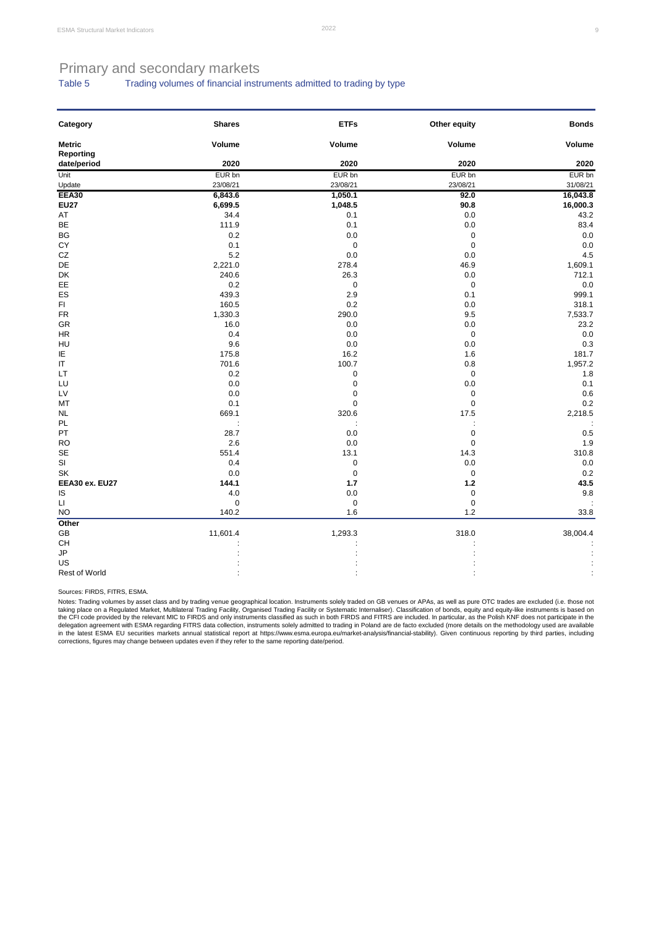## Table 5 Trading volumes of financial instruments admitted to trading by type

| Category               | <b>Shares</b>        | <b>ETFs</b>    | Other equity         | <b>Bonds</b>         |
|------------------------|----------------------|----------------|----------------------|----------------------|
| <b>Metric</b>          | Volume               | Volume         | Volume               | Volume               |
| <b>Reporting</b>       |                      |                |                      |                      |
| date/period            | 2020                 | 2020           | 2020                 | 2020                 |
| Unit                   | EUR bn               | EUR bn         | EUR bn               | EUR bn               |
| Update                 | 23/08/21             | 23/08/21       | 23/08/21             | 31/08/21             |
| <b>EEA30</b>           | 6,843.6              | 1,050.1        | 92.0                 | 16,043.8             |
| <b>EU27</b>            | 6,699.5              | 1,048.5        | 90.8                 | 16,000.3             |
| AT                     | 34.4                 | 0.1            | 0.0                  | 43.2                 |
| BE                     | 111.9                | 0.1            | 0.0                  | 83.4                 |
| BG                     | 0.2                  | 0.0            | $\mathbf 0$          | 0.0                  |
| CY                     | 0.1                  | $\mathbf 0$    | $\mathbf 0$          | 0.0                  |
| CZ                     | 5.2                  | 0.0            | 0.0                  | 4.5                  |
| DE                     | 2,221.0              | 278.4          | 46.9                 | 1,609.1              |
| DK                     | 240.6                | 26.3           | 0.0                  | 712.1                |
| EE                     | 0.2                  | $\mathsf 0$    | $\pmb{0}$            | 0.0                  |
| ES                     | 439.3                | 2.9            | 0.1                  | 999.1                |
| FI.                    | 160.5                | 0.2            | 0.0                  | 318.1                |
| <b>FR</b>              | 1,330.3              | 290.0          | 9.5                  | 7,533.7              |
| GR                     | 16.0                 | 0.0            | 0.0                  | 23.2                 |
| <b>HR</b>              | 0.4                  | 0.0            | $\pmb{0}$            | 0.0                  |
| HU                     | 9.6                  | 0.0            | 0.0                  | 0.3                  |
| ΙE                     | 175.8                | 16.2           | 1.6                  | 181.7                |
| $\mathsf{I}\mathsf{T}$ | 701.6                | 100.7          | 0.8                  | 1,957.2              |
| LT                     | 0.2                  | 0              | $\pmb{0}$            | 1.8                  |
| LU                     | 0.0                  | $\pmb{0}$      | 0.0                  | 0.1                  |
| LV                     | 0.0                  | $\pmb{0}$      | $\pmb{0}$            | 0.6                  |
| MT                     | 0.1                  | 0              | $\pmb{0}$            | 0.2                  |
| NL                     | 669.1                | 320.6          | 17.5                 | 2,218.5              |
| PL                     | $\ddot{\phantom{a}}$ | $\ddot{\cdot}$ | $\ddot{\phantom{0}}$ | $\ddot{\phantom{a}}$ |
| PT                     | 28.7                 | 0.0            | $\mathbf 0$          | 0.5                  |
| <b>RO</b>              | 2.6                  | 0.0            | $\mathbf 0$          | 1.9                  |
| <b>SE</b>              | 551.4                | 13.1           | 14.3                 | 310.8                |
| $\mathsf{SI}$          | 0.4                  | $\mathbf 0$    | 0.0                  | 0.0                  |
| SK                     | 0.0                  | $\mathsf 0$    | $\mathbf 0$          | 0.2                  |
| EEA30 ex. EU27         | 144.1                | $1.7$          | $1.2$                | 43.5                 |
| IS                     | 4.0                  | 0.0            | $\mathbf 0$          | 9.8                  |
| $\mathsf{L}\mathsf{I}$ | 0                    | 0              | $\mathbf 0$          |                      |
| <b>NO</b>              | 140.2                | 1.6            | 1.2                  | 33.8                 |
| Other                  |                      |                |                      |                      |
| GB                     | 11,601.4             | 1,293.3        | 318.0                | 38,004.4             |
| CH                     |                      |                |                      |                      |
| JP                     |                      |                |                      |                      |
| US                     |                      |                |                      |                      |
| <b>Rest of World</b>   |                      |                |                      |                      |
|                        |                      |                |                      |                      |

Sources: FIRDS, FITRS, ESMA.

Notes: Trading volumes by asset class and by trading venue geographical location. Instruments solely traded on GB venues or APAs, as well as pure OTC trades are excluded (i.e. those not<br>taking place on a Regulated Market, corrections, figures may change between updates even if they refer to the same reporting date/period.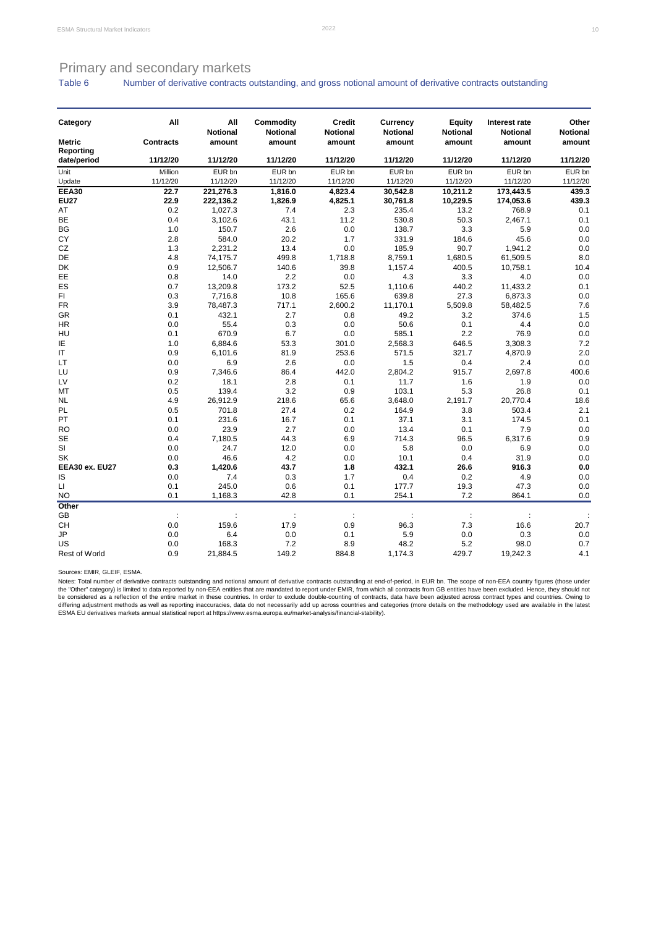Table 6 Number of derivative contracts outstanding, and gross notional amount of derivative contracts outstanding

| Category                   | All                  | All<br><b>Notional</b> | Commodity<br><b>Notional</b> | Credit<br><b>Notional</b> | <b>Currency</b><br><b>Notional</b> | <b>Equity</b><br><b>Notional</b> | Interest rate<br><b>Notional</b> | Other<br><b>Notional</b> |
|----------------------------|----------------------|------------------------|------------------------------|---------------------------|------------------------------------|----------------------------------|----------------------------------|--------------------------|
| <b>Metric</b><br>Reporting | <b>Contracts</b>     | amount                 | amount                       | amount                    | amount                             | amount                           | amount                           | amount                   |
| date/period                | 11/12/20             | 11/12/20               | 11/12/20                     | 11/12/20                  | 11/12/20                           | 11/12/20                         | 11/12/20                         | 11/12/20                 |
| Unit                       | Million              | EUR bn                 | EUR bn                       | EUR bn                    | EUR bn                             | EUR bn                           | EUR bn                           | EUR bn                   |
| Update                     | 11/12/20             | 11/12/20               | 11/12/20                     | 11/12/20                  | 11/12/20                           | 11/12/20                         | 11/12/20                         | 11/12/20                 |
| <b>EEA30</b>               | 22.7                 | 221,276.3              | 1,816.0                      | 4,823.4                   | 30,542.8                           | 10,211.2                         | 173,443.5                        | 439.3                    |
| <b>EU27</b>                | 22.9                 | 222,136.2              | 1,826.9                      | 4,825.1                   | 30,761.8                           | 10,229.5                         | 174,053.6                        | 439.3                    |
| AT                         | 0.2                  | 1,027.3                | 7.4                          | 2.3                       | 235.4                              | 13.2                             | 768.9                            | 0.1                      |
| BE                         | 0.4                  | 3,102.6                | 43.1                         | 11.2                      | 530.8                              | 50.3                             | 2,467.1                          | 0.1                      |
| BG                         | 1.0                  | 150.7                  | 2.6                          | 0.0                       | 138.7                              | 3.3                              | 5.9                              | 0.0                      |
| CY                         | 2.8                  | 584.0                  | 20.2                         | 1.7                       | 331.9                              | 184.6                            | 45.6                             | 0.0                      |
| CZ                         | 1.3                  | 2,231.2                | 13.4                         | 0.0                       | 185.9                              | 90.7                             | 1,941.2                          | 0.0                      |
| DE                         | 4.8                  | 74,175.7               | 499.8                        | 1,718.8                   | 8,759.1                            | 1,680.5                          | 61,509.5                         | 8.0                      |
| DK                         | 0.9                  | 12,506.7               | 140.6                        | 39.8                      | 1,157.4                            | 400.5                            | 10,758.1                         | 10.4                     |
| EE                         | 0.8                  | 14.0                   | 2.2                          | 0.0                       | 4.3                                | 3.3                              | 4.0                              | 0.0                      |
| ES                         | 0.7                  | 13,209.8               | 173.2                        | 52.5                      | 1,110.6                            | 440.2                            | 11,433.2                         | 0.1                      |
| FI.                        | 0.3                  | 7,716.8                | 10.8                         | 165.6                     | 639.8                              | 27.3                             | 6,873.3                          | 0.0                      |
| <b>FR</b>                  | 3.9                  | 78,487.3               | 717.1                        | 2,600.2                   | 11,170.1                           | 5,509.8                          | 58,482.5                         | 7.6                      |
| <b>GR</b>                  | 0.1                  | 432.1                  | 2.7                          | 0.8                       | 49.2                               | 3.2                              | 374.6                            | 1.5                      |
| HR                         | 0.0                  | 55.4                   | 0.3                          | 0.0                       | 50.6                               | 0.1                              | 4.4                              | 0.0                      |
| HU                         | 0.1                  | 670.9                  | 6.7                          | 0.0                       | 585.1                              | 2.2                              | 76.9                             | 0.0                      |
| ΙE                         | 1.0                  | 6,884.6                | 53.3                         | 301.0                     | 2,568.3                            | 646.5                            | 3,308.3                          | 7.2                      |
| $\sf IT$                   | 0.9                  | 6,101.6                | 81.9                         | 253.6                     | 571.5                              | 321.7                            | 4,870.9                          | 2.0                      |
| LT                         | 0.0                  | 6.9                    | 2.6                          | 0.0                       | 1.5                                | 0.4                              | 2.4                              | 0.0                      |
| LU                         | 0.9                  | 7,346.6                | 86.4                         | 442.0                     | 2,804.2                            | 915.7                            | 2,697.8                          | 400.6                    |
| LV                         | 0.2                  | 18.1                   | 2.8                          | 0.1                       | 11.7                               | 1.6                              | 1.9                              | 0.0                      |
| МT                         | 0.5                  | 139.4                  | 3.2                          | 0.9                       | 103.1                              | 5.3                              | 26.8                             | 0.1                      |
| <b>NL</b>                  | 4.9                  | 26,912.9               | 218.6                        | 65.6                      | 3,648.0                            | 2,191.7                          | 20,770.4                         | 18.6                     |
| <b>PL</b>                  | 0.5                  | 701.8                  | 27.4                         | 0.2                       | 164.9                              | 3.8                              | 503.4                            | 2.1                      |
| PT                         | 0.1                  | 231.6                  | 16.7                         | 0.1                       | 37.1                               | 3.1                              | 174.5                            | 0.1                      |
| <b>RO</b>                  | 0.0                  | 23.9                   | 2.7                          | 0.0                       | 13.4                               | 0.1                              | 7.9                              | 0.0                      |
| <b>SE</b>                  | 0.4                  | 7,180.5                | 44.3                         | 6.9                       | 714.3                              | 96.5                             | 6,317.6                          | 0.9                      |
| SI                         | 0.0                  | 24.7                   | 12.0                         | 0.0                       | 5.8                                | 0.0                              | 6.9                              | 0.0                      |
| <b>SK</b>                  | 0.0                  | 46.6                   | 4.2                          | 0.0                       | 10.1                               | 0.4                              | 31.9                             | 0.0                      |
| EEA30 ex. EU27             | 0.3                  | 1,420.6                | 43.7                         | 1.8                       | 432.1                              | 26.6                             | 916.3                            | 0.0                      |
| IS                         | 0.0                  | 7.4                    | 0.3                          | 1.7                       | 0.4                                | 0.2                              | 4.9                              | 0.0                      |
| LI.                        | 0.1                  | 245.0                  | 0.6                          | 0.1                       | 177.7                              | 19.3                             | 47.3                             | 0.0                      |
| <b>NO</b>                  | 0.1                  | 1,168.3                | 42.8                         | 0.1                       | 254.1                              | 7.2                              | 864.1                            | 0.0                      |
| Other                      |                      |                        |                              |                           |                                    |                                  |                                  |                          |
| GВ                         | $\ddot{\phantom{a}}$ |                        |                              |                           |                                    | $\ddot{\cdot}$                   |                                  |                          |
| <b>CH</b>                  | 0.0                  | 159.6                  | 17.9                         | 0.9                       | 96.3                               | 7.3                              | 16.6                             | 20.7                     |
| <b>JP</b>                  | 0.0                  | 6.4                    | 0.0                          | 0.1                       | 5.9                                | 0.0                              | 0.3                              | 0.0                      |
| US                         | 0.0                  | 168.3                  | 7.2                          | 8.9                       | 48.2                               | 5.2                              | 98.0                             | 0.7                      |
| Rest of World              | 0.9                  | 21,884.5               | 149.2                        | 884.8                     | 1,174.3                            | 429.7                            | 19,242.3                         | 4.1                      |

Sources: EMIR, GLEIF, ESMA.

Notes: Total number of derivative contracts outstanding and notional amount of derivative contracts outstanding at end-of-period, in EUR bn. The scope of non-EEA country figures (those under the "Other" category) is limited to data reported by non-EEA entities that are mandated to report under EMIR, from which all contracts from GB entities have been excluded. Hence, they should not be the stimule of the entir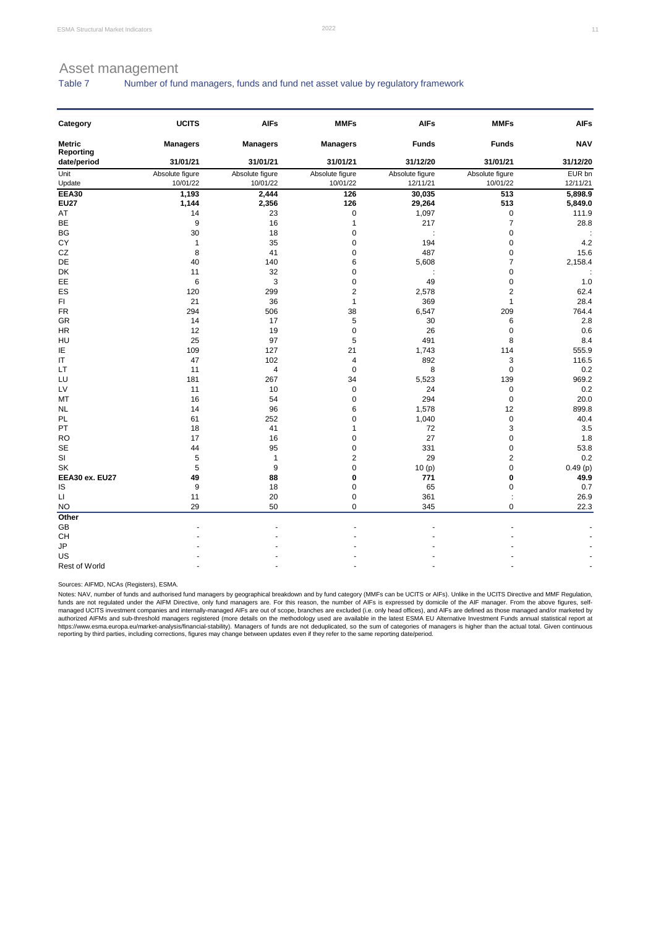## Asset management

Table 7 Number of fund managers, funds and fund net asset value by regulatory framework

| Category                   | <b>UCITS</b>    | <b>AIFs</b>     | <b>MMFs</b>     | <b>AIFs</b>     | <b>MMFs</b>     | <b>AIFs</b> |
|----------------------------|-----------------|-----------------|-----------------|-----------------|-----------------|-------------|
| <b>Metric</b><br>Reporting | <b>Managers</b> | <b>Managers</b> | <b>Managers</b> | <b>Funds</b>    | <b>Funds</b>    | <b>NAV</b>  |
| date/period                | 31/01/21        | 31/01/21        | 31/01/21        | 31/12/20        | 31/01/21        | 31/12/20    |
| Unit                       | Absolute figure | Absolute figure | Absolute figure | Absolute figure | Absolute figure | EUR bn      |
| Update                     | 10/01/22        | 10/01/22        | 10/01/22        | 12/11/21        | 10/01/22        | 12/11/21    |
| EEA30                      | 1,193           | 2,444           | 126             | 30,035          | 513             | 5,898.9     |
| <b>EU27</b>                | 1,144           | 2,356           | 126             | 29,264          | 513             | 5,849.0     |
| AT                         | 14              | 23              | $\mathbf 0$     | 1,097           | $\pmb{0}$       | 111.9       |
| BE                         | 9               | 16              | 1               | 217             | $\overline{7}$  | 28.8        |
| BG                         | 30              | 18              | $\mathbf 0$     |                 | $\pmb{0}$       |             |
| CY                         | $\mathbf{1}$    | 35              | $\mathbf 0$     | 194             | 0               | 4.2         |
| CZ                         | 8               | 41              | $\mathbf 0$     | 487             | 0               | 15.6        |
| DE                         | 40              | 140             | 6               | 5,608           | $\overline{7}$  | 2,158.4     |
| DK                         | 11              | 32              | 0               |                 | $\pmb{0}$       |             |
| EE                         | 6               | 3               | $\mathbf 0$     | 49              | $\mathbf 0$     | 1.0         |
| ES                         | 120             | 299             | $\overline{2}$  | 2,578           | $\overline{2}$  | 62.4        |
| FI                         | 21              | 36              | $\mathbf{1}$    | 369             | $\mathbf{1}$    | 28.4        |
| <b>FR</b>                  | 294             | 506             | 38              | 6,547           | 209             | 764.4       |
| GR                         | 14              | 17              | 5               | 30              | 6               | 2.8         |
| <b>HR</b>                  | 12              | 19              | 0               | 26              | $\pmb{0}$       | 0.6         |
| HU                         | 25              | 97              | 5               | 491             | 8               | 8.4         |
| ΙE                         | 109             | 127             | 21              | 1,743           | 114             | 555.9       |
| $\sf IT$                   | 47              | 102             | 4               | 892             | 3               | 116.5       |
| LT                         | 11              | 4               | 0               | 8               | $\pmb{0}$       | 0.2         |
| LU                         | 181             | 267             | 34              | 5,523           | 139             | 969.2       |
| LV                         | 11              | 10              | $\mathbf 0$     | 24              | $\mathbf 0$     | 0.2         |
| МT                         | 16              | 54              | 0               | 294             | $\pmb{0}$       | 20.0        |
| <b>NL</b>                  | 14              | 96              | 6               | 1,578           | 12              | 899.8       |
| PL                         | 61              | 252             | 0               | 1,040           | $\pmb{0}$       | 40.4        |
| PT                         | 18              | 41              | 1               | 72              | 3               | 3.5         |
| <b>RO</b>                  | 17              | 16              | 0               | 27              | $\pmb{0}$       | 1.8         |
| <b>SE</b>                  | 44              | 95              | 0               | 331             | $\pmb{0}$       | 53.8        |
| SI                         | 5               | $\mathbf{1}$    | $\overline{2}$  | 29              | $\overline{2}$  | 0.2         |
| SK                         | 5               | 9               | $\mathbf 0$     | 10(p)           | 0               | 0.49(p)     |
| EEA30 ex. EU27             | 49              | 88              | 0               | 771             | 0               | 49.9        |
| IS                         | 9               | 18              | $\mathbf 0$     | 65              | $\pmb{0}$       | 0.7         |
| $\mathsf{L}\mathsf{L}$     | 11              | 20              | 0               | 361             |                 | 26.9        |
| <b>NO</b>                  | 29              | 50              | $\mathbf 0$     | 345             | $\mathbf 0$     | 22.3        |
| Other                      |                 |                 |                 |                 |                 |             |
| GB                         |                 |                 |                 |                 |                 |             |
| <b>CH</b>                  |                 |                 |                 |                 |                 |             |
| JP                         |                 |                 |                 |                 |                 |             |
| <b>US</b>                  |                 |                 |                 |                 |                 |             |
| Rest of World              |                 |                 |                 |                 |                 |             |

Sources: AIFMD, NCAs (Registers), ESMA.

Notes: NAV, number of funds and authorised fund managers by geographical breakdown and by fund category (MMFs can be UCITS or AIFs). Unlike in the UCITS Directive and MMF Regulation,<br>funds are not regulated under the AIFM